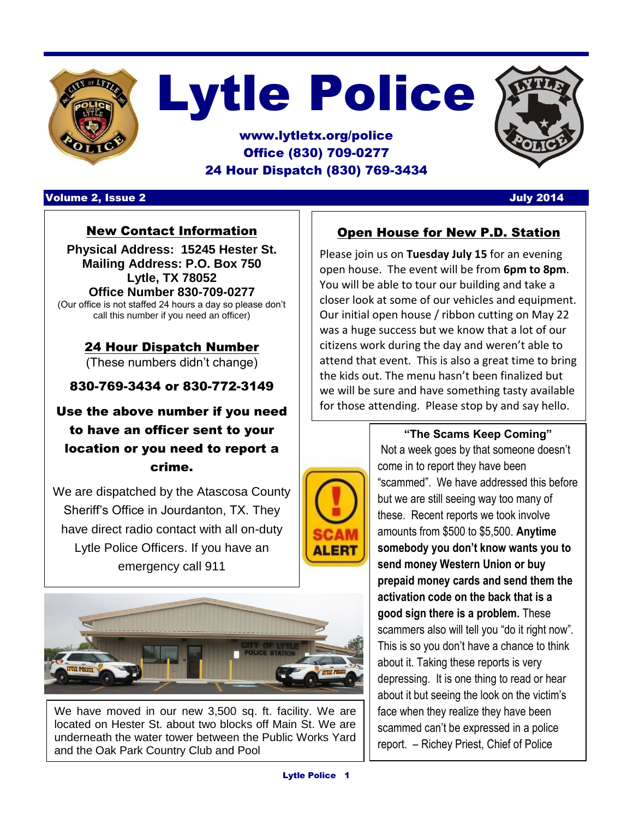

# Lytle Police

#### www.lytletx.org/police Office (830) 709-0277 24 Hour Dispatch (830) 769-3434



#### Volume 2, Issue 2 July 2014

#### New Contact Information

**Physical Address: 15245 Hester St. Mailing Address: P.O. Box 750 Lytle, TX 78052 Office Number 830-709-0277**

(Our office is not staffed 24 hours a day so please don't call this number if you need an officer)

> 24 Hour Dispatch Number (These numbers didn't change)

830-769-3434 or 830-772-3149

#### Use the above number if you need to have an officer sent to your location or you need to report a crime.

We are dispatched by the Atascosa County Sheriff's Office in Jourdanton, TX. They have direct radio contact with all on-duty Lytle Police Officers. If you have an emergency call 911



We have moved in our new 3,500 sq. ft. facility. We are located on Hester St. about two blocks off Main St. We are underneath the water tower between the Public Works Yard and the Oak Park Country Club and Pool

#### Open House for New P.D. Station

Please join us on **Tuesday July 15** for an evening open house. The event will be from **6pm to 8pm**. You will be able to tour our building and take a closer look at some of our vehicles and equipment. Our initial open house / ribbon cutting on May 22 was a huge success but we know that a lot of our citizens work during the day and weren't able to attend that event. This is also a great time to bring the kids out. The menu hasn't been finalized but we will be sure and have something tasty available for those attending. Please stop by and say hello.



**"The Scams Keep Coming"** Not a week goes by that someone doesn't come in to report they have been "scammed". We have addressed this before but we are still seeing way too many of these. Recent reports we took involve amounts from \$500 to \$5,500. **Anytime somebody you don't know wants you to send money Western Union or buy prepaid money cards and send them the activation code on the back that is a good sign there is a problem.** These scammers also will tell you "do it right now". This is so you don't have a chance to think about it. Taking these reports is very depressing. It is one thing to read or hear about it but seeing the look on the victim's face when they realize they have been scammed can't be expressed in a police report. – Richey Priest, Chief of Police